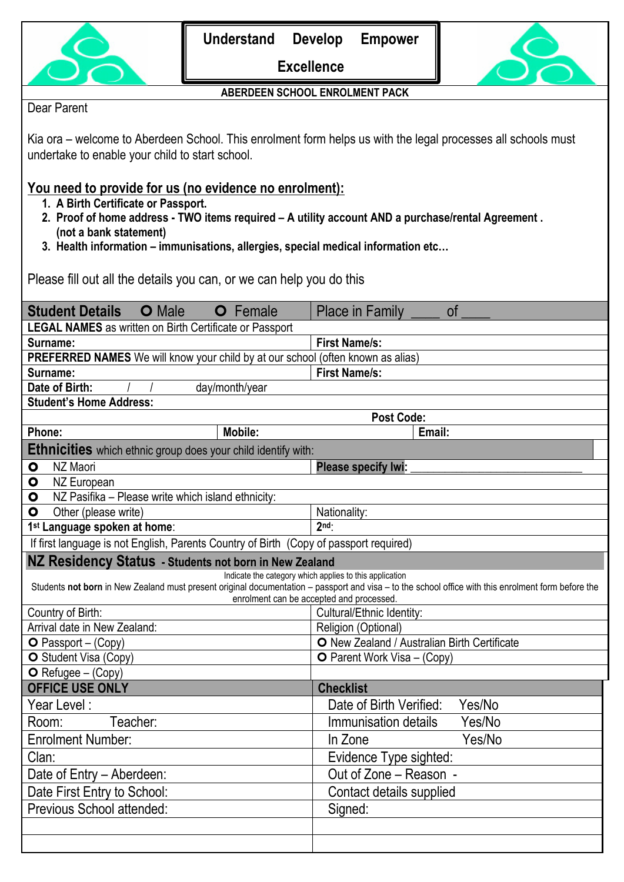

**Excellence**



## **ABERDEEN SCHOOL ENROLMENT PACK**

# Dear Parent

Kia ora – welcome to Aberdeen School. This enrolment form helps us with the legal processes all schools must undertake to enable your child to start school.

# **You need to provide for us (no evidence no enrolment):**

- **1. A Birth Certificate or Passport.**
- **2. Proof of home address - TWO items required – A utility account AND a purchase/rental Agreement . (not a bank statement)**
- **3. Health information – immunisations, allergies, special medical information etc…**

Please fill out all the details you can, or we can help you do this

| <b>Student Details</b><br><b>O</b> Male<br>Female<br>$\mathbf O$                                                                                                                                                                                           | <b>Place in Family</b><br><b>of</b>          |  |  |
|------------------------------------------------------------------------------------------------------------------------------------------------------------------------------------------------------------------------------------------------------------|----------------------------------------------|--|--|
| <b>LEGAL NAMES</b> as written on Birth Certificate or Passport                                                                                                                                                                                             |                                              |  |  |
| Surname:                                                                                                                                                                                                                                                   | <b>First Name/s:</b>                         |  |  |
| PREFERRED NAMES We will know your child by at our school (often known as alias)                                                                                                                                                                            |                                              |  |  |
| Surname:                                                                                                                                                                                                                                                   | <b>First Name/s:</b>                         |  |  |
| Date of Birth:<br>day/month/year                                                                                                                                                                                                                           |                                              |  |  |
| <b>Student's Home Address:</b>                                                                                                                                                                                                                             |                                              |  |  |
|                                                                                                                                                                                                                                                            | <b>Post Code:</b>                            |  |  |
| Phone:<br><b>Mobile:</b>                                                                                                                                                                                                                                   | Email:                                       |  |  |
| <b>Ethnicities</b> which ethnic group does your child identify with:                                                                                                                                                                                       |                                              |  |  |
| NZ Maori<br>$\bullet$                                                                                                                                                                                                                                      | <b>Please specify Iwi:</b>                   |  |  |
| $\bullet$<br>NZ European                                                                                                                                                                                                                                   |                                              |  |  |
| NZ Pasifika - Please write which island ethnicity:<br>$\bullet$                                                                                                                                                                                            |                                              |  |  |
| Other (please write)<br>$\mathbf{o}$                                                                                                                                                                                                                       | Nationality:                                 |  |  |
| 1 <sup>st</sup> Language spoken at home:                                                                                                                                                                                                                   | 2 <sup>nd</sup>                              |  |  |
| If first language is not English, Parents Country of Birth (Copy of passport required)                                                                                                                                                                     |                                              |  |  |
| NZ Residency Status - Students not born in New Zealand                                                                                                                                                                                                     |                                              |  |  |
| Indicate the category which applies to this application<br>Students not born in New Zealand must present original documentation - passport and visa - to the school office with this enrolment form before the<br>enrolment can be accepted and processed. |                                              |  |  |
| Country of Birth:                                                                                                                                                                                                                                          | Cultural/Ethnic Identity:                    |  |  |
| Arrival date in New Zealand:                                                                                                                                                                                                                               | Religion (Optional)                          |  |  |
| $O$ Passport – (Copy)                                                                                                                                                                                                                                      | O New Zealand / Australian Birth Certificate |  |  |
| O Student Visa (Copy)                                                                                                                                                                                                                                      | <b>O</b> Parent Work Visa – (Copy)           |  |  |
| $O$ Refugee – (Copy)                                                                                                                                                                                                                                       |                                              |  |  |
| <b>OFFICE USE ONLY</b>                                                                                                                                                                                                                                     | <b>Checklist</b>                             |  |  |
| Year Level:                                                                                                                                                                                                                                                | Yes/No<br>Date of Birth Verified:            |  |  |
| Teacher:<br>Room:                                                                                                                                                                                                                                          | Yes/No<br>Immunisation details               |  |  |
| <b>Enrolment Number:</b>                                                                                                                                                                                                                                   | Yes/No<br>In Zone                            |  |  |
| Clan:                                                                                                                                                                                                                                                      | Evidence Type sighted:                       |  |  |
| Date of Entry - Aberdeen:                                                                                                                                                                                                                                  | Out of Zone – Reason -                       |  |  |
| Date First Entry to School:                                                                                                                                                                                                                                | Contact details supplied                     |  |  |
| Previous School attended:                                                                                                                                                                                                                                  | Signed:                                      |  |  |
|                                                                                                                                                                                                                                                            |                                              |  |  |
|                                                                                                                                                                                                                                                            |                                              |  |  |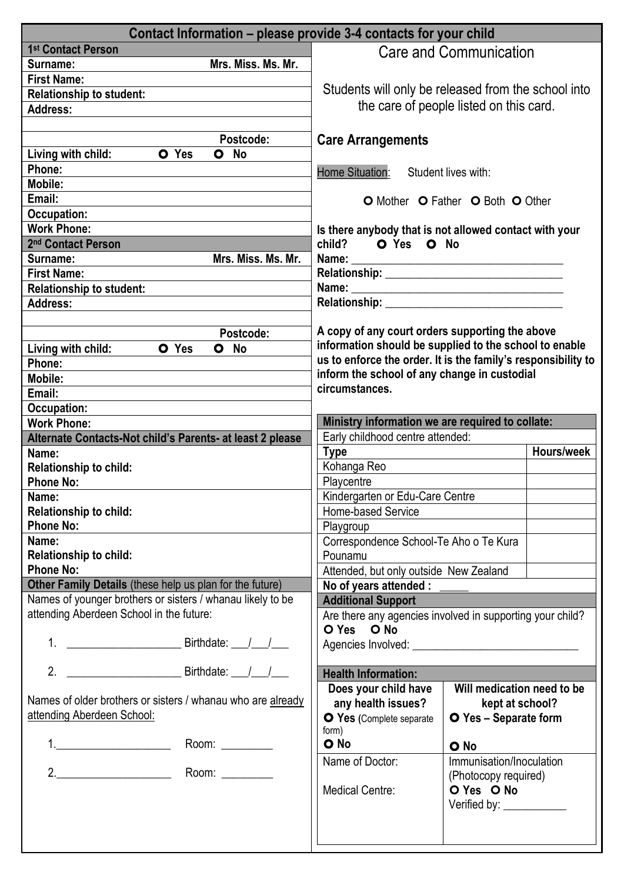| Contact Information – please provide 3-4 contacts for your child                                                                                                                                                                                                                                                                       |                                                                                                                                                                                                                                |                                                     |            |
|----------------------------------------------------------------------------------------------------------------------------------------------------------------------------------------------------------------------------------------------------------------------------------------------------------------------------------------|--------------------------------------------------------------------------------------------------------------------------------------------------------------------------------------------------------------------------------|-----------------------------------------------------|------------|
| 1 <sup>st</sup> Contact Person                                                                                                                                                                                                                                                                                                         |                                                                                                                                                                                                                                | Care and Communication                              |            |
| Mrs. Miss. Ms. Mr.<br>Surname:                                                                                                                                                                                                                                                                                                         |                                                                                                                                                                                                                                |                                                     |            |
| <b>First Name:</b>                                                                                                                                                                                                                                                                                                                     |                                                                                                                                                                                                                                |                                                     |            |
| <b>Relationship to student:</b>                                                                                                                                                                                                                                                                                                        | Students will only be released from the school into                                                                                                                                                                            |                                                     |            |
| <b>Address:</b>                                                                                                                                                                                                                                                                                                                        | the care of people listed on this card.                                                                                                                                                                                        |                                                     |            |
|                                                                                                                                                                                                                                                                                                                                        |                                                                                                                                                                                                                                |                                                     |            |
| Postcode:                                                                                                                                                                                                                                                                                                                              | <b>Care Arrangements</b>                                                                                                                                                                                                       |                                                     |            |
| O Yes<br>Living with child:<br>O No                                                                                                                                                                                                                                                                                                    |                                                                                                                                                                                                                                |                                                     |            |
| Phone:                                                                                                                                                                                                                                                                                                                                 | <b>Home Situation:</b><br>Student lives with:                                                                                                                                                                                  |                                                     |            |
| Mobile:                                                                                                                                                                                                                                                                                                                                |                                                                                                                                                                                                                                |                                                     |            |
| Email:                                                                                                                                                                                                                                                                                                                                 |                                                                                                                                                                                                                                | O Mother O Father O Both O Other                    |            |
| Occupation:                                                                                                                                                                                                                                                                                                                            |                                                                                                                                                                                                                                |                                                     |            |
| <b>Work Phone:</b>                                                                                                                                                                                                                                                                                                                     | Is there anybody that is not allowed contact with your                                                                                                                                                                         |                                                     |            |
| 2 <sup>nd</sup> Contact Person                                                                                                                                                                                                                                                                                                         | child? O Yes O No                                                                                                                                                                                                              |                                                     |            |
| Mrs. Miss. Ms. Mr.<br>Surname:                                                                                                                                                                                                                                                                                                         |                                                                                                                                                                                                                                |                                                     |            |
| <b>First Name:</b>                                                                                                                                                                                                                                                                                                                     |                                                                                                                                                                                                                                |                                                     |            |
| <b>Relationship to student:</b>                                                                                                                                                                                                                                                                                                        |                                                                                                                                                                                                                                |                                                     |            |
| <b>Address:</b>                                                                                                                                                                                                                                                                                                                        | Relationship: Network and the state of the state of the state of the state of the state of the state of the state of the state of the state of the state of the state of the state of the state of the state of the state of t |                                                     |            |
|                                                                                                                                                                                                                                                                                                                                        |                                                                                                                                                                                                                                |                                                     |            |
| Postcode:                                                                                                                                                                                                                                                                                                                              | A copy of any court orders supporting the above                                                                                                                                                                                |                                                     |            |
| Living with child:<br>O Yes<br>$\bullet$<br>No                                                                                                                                                                                                                                                                                         | information should be supplied to the school to enable                                                                                                                                                                         |                                                     |            |
| Phone:                                                                                                                                                                                                                                                                                                                                 | us to enforce the order. It is the family's responsibility to                                                                                                                                                                  |                                                     |            |
| Mobile:                                                                                                                                                                                                                                                                                                                                | inform the school of any change in custodial                                                                                                                                                                                   |                                                     |            |
| Email:                                                                                                                                                                                                                                                                                                                                 | circumstances.                                                                                                                                                                                                                 |                                                     |            |
| <b>Occupation:</b>                                                                                                                                                                                                                                                                                                                     |                                                                                                                                                                                                                                |                                                     |            |
| <b>Work Phone:</b>                                                                                                                                                                                                                                                                                                                     | Ministry information we are required to collate:                                                                                                                                                                               |                                                     |            |
| Alternate Contacts-Not child's Parents- at least 2 please                                                                                                                                                                                                                                                                              | Early childhood centre attended:                                                                                                                                                                                               |                                                     |            |
|                                                                                                                                                                                                                                                                                                                                        | <b>Type</b>                                                                                                                                                                                                                    |                                                     | Hours/week |
| Name:                                                                                                                                                                                                                                                                                                                                  |                                                                                                                                                                                                                                |                                                     |            |
| <b>Relationship to child:</b>                                                                                                                                                                                                                                                                                                          | Kohanga Reo                                                                                                                                                                                                                    |                                                     |            |
| <b>Phone No:</b>                                                                                                                                                                                                                                                                                                                       | Playcentre                                                                                                                                                                                                                     |                                                     |            |
| Name:                                                                                                                                                                                                                                                                                                                                  | Kindergarten or Edu-Care Centre                                                                                                                                                                                                |                                                     |            |
| <b>Relationship to child:</b>                                                                                                                                                                                                                                                                                                          | Home-based Service                                                                                                                                                                                                             |                                                     |            |
| <b>Phone No:</b>                                                                                                                                                                                                                                                                                                                       | Playgroup                                                                                                                                                                                                                      |                                                     |            |
| Name:                                                                                                                                                                                                                                                                                                                                  | Correspondence School-Te Aho o Te Kura                                                                                                                                                                                         |                                                     |            |
| <b>Relationship to child:</b>                                                                                                                                                                                                                                                                                                          | Pounamu                                                                                                                                                                                                                        |                                                     |            |
| <b>Phone No:</b>                                                                                                                                                                                                                                                                                                                       | Attended, but only outside New Zealand                                                                                                                                                                                         |                                                     |            |
| Other Family Details (these help us plan for the future)                                                                                                                                                                                                                                                                               | No of years attended :                                                                                                                                                                                                         |                                                     |            |
| Names of younger brothers or sisters / whanau likely to be                                                                                                                                                                                                                                                                             | <b>Additional Support</b>                                                                                                                                                                                                      |                                                     |            |
| attending Aberdeen School in the future:                                                                                                                                                                                                                                                                                               | Are there any agencies involved in supporting your child?                                                                                                                                                                      |                                                     |            |
|                                                                                                                                                                                                                                                                                                                                        | O Yes O No                                                                                                                                                                                                                     |                                                     |            |
|                                                                                                                                                                                                                                                                                                                                        |                                                                                                                                                                                                                                |                                                     |            |
|                                                                                                                                                                                                                                                                                                                                        |                                                                                                                                                                                                                                |                                                     |            |
|                                                                                                                                                                                                                                                                                                                                        | <b>Health Information:</b>                                                                                                                                                                                                     |                                                     |            |
|                                                                                                                                                                                                                                                                                                                                        | Does your child have                                                                                                                                                                                                           | Will medication need to be                          |            |
| Names of older brothers or sisters / whanau who are already                                                                                                                                                                                                                                                                            | any health issues?                                                                                                                                                                                                             | kept at school?                                     |            |
| attending Aberdeen School:                                                                                                                                                                                                                                                                                                             | O Yes (Complete separate                                                                                                                                                                                                       | O Yes - Separate form                               |            |
|                                                                                                                                                                                                                                                                                                                                        | form)                                                                                                                                                                                                                          |                                                     |            |
| $1.$ $\frac{1}{2}$ $\frac{1}{2}$ $\frac{1}{2}$ $\frac{1}{2}$ $\frac{1}{2}$ $\frac{1}{2}$ $\frac{1}{2}$ $\frac{1}{2}$ $\frac{1}{2}$ $\frac{1}{2}$ $\frac{1}{2}$ $\frac{1}{2}$ $\frac{1}{2}$ $\frac{1}{2}$ $\frac{1}{2}$ $\frac{1}{2}$ $\frac{1}{2}$ $\frac{1}{2}$ $\frac{1}{2}$ $\frac{1}{2}$ $\frac{1}{2}$ $\frac{1}{$<br>Room: $\_\_$ | O No                                                                                                                                                                                                                           | O No                                                |            |
|                                                                                                                                                                                                                                                                                                                                        | Name of Doctor:                                                                                                                                                                                                                | Immunisation/Inoculation                            |            |
|                                                                                                                                                                                                                                                                                                                                        |                                                                                                                                                                                                                                | (Photocopy required)                                |            |
|                                                                                                                                                                                                                                                                                                                                        | <b>Medical Centre:</b>                                                                                                                                                                                                         | O Yes O No                                          |            |
|                                                                                                                                                                                                                                                                                                                                        |                                                                                                                                                                                                                                | Verified by: $\_\_\_\_\_\_\_\_\_\_\_\_\_\_\_\_\_\_$ |            |
|                                                                                                                                                                                                                                                                                                                                        |                                                                                                                                                                                                                                |                                                     |            |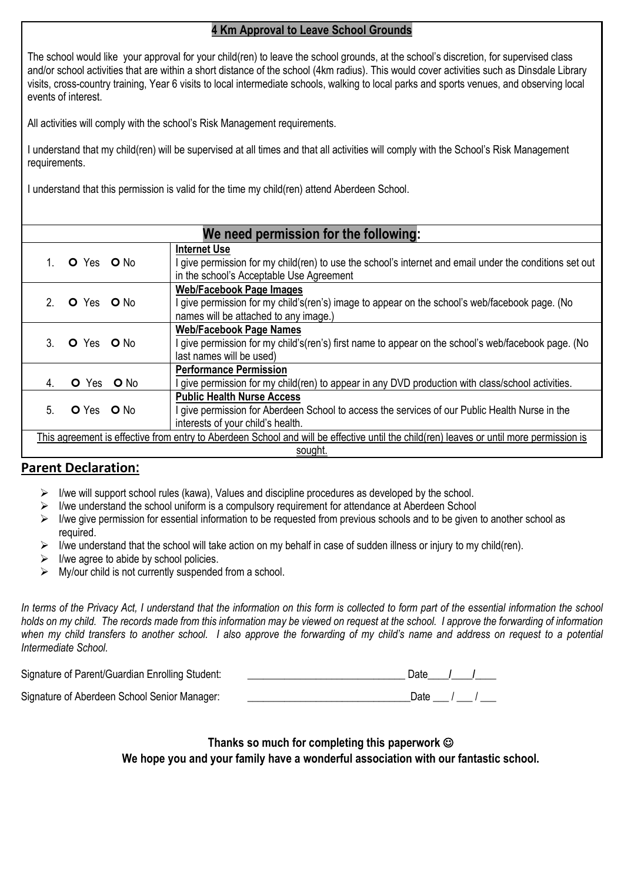# **4 Km Approval to Leave School Grounds**

The school would like your approval for your child(ren) to leave the school grounds, at the school's discretion, for supervised class and/or school activities that are within a short distance of the school (4km radius). This would cover activities such as Dinsdale Library visits, cross-country training, Year 6 visits to local intermediate schools, walking to local parks and sports venues, and observing local events of interest.

All activities will comply with the school's Risk Management requirements.

I understand that my child(ren) will be supervised at all times and that all activities will comply with the School's Risk Management requirements.

I understand that this permission is valid for the time my child(ren) attend Aberdeen School.

| We need permission for the following:                                                                                                              |                          |                                                                                                                                                                            |
|----------------------------------------------------------------------------------------------------------------------------------------------------|--------------------------|----------------------------------------------------------------------------------------------------------------------------------------------------------------------------|
|                                                                                                                                                    | O Yes O No               | <b>Internet Use</b><br>I give permission for my child(ren) to use the school's internet and email under the conditions set out<br>in the school's Acceptable Use Agreement |
|                                                                                                                                                    | 2. O Yes O No.           | <b>Web/Facebook Page Images</b><br>l give permission for my child's(ren's) image to appear on the school's web/facebook page. (No<br>names will be attached to any image.) |
|                                                                                                                                                    | 3. O Yes O No            | <b>Web/Facebook Page Names</b><br>I give permission for my child's(ren's) first name to appear on the school's web/facebook page. (No<br>last names will be used)          |
| 4.                                                                                                                                                 | <b>O</b> Yes <b>O</b> No | <b>Performance Permission</b><br>give permission for my child(ren) to appear in any DVD production with class/school activities.                                           |
| 5.                                                                                                                                                 | <b>O</b> Yes <b>O</b> No | <b>Public Health Nurse Access</b><br>give permission for Aberdeen School to access the services of our Public Health Nurse in the<br>interests of your child's health.     |
| This agreement is effective from entry to Aberdeen School and will be effective until the child(ren) leaves or until more permission is<br>sought. |                          |                                                                                                                                                                            |

# **Parent Declaration:**

- $\triangleright$  I/we will support school rules (kawa), Values and discipline procedures as developed by the school.
- $\triangleright$  I/we understand the school uniform is a compulsory requirement for attendance at Aberdeen School
- ➢ I/we give permission for essential information to be requested from previous schools and to be given to another school as required.
- $\triangleright$  I/we understand that the school will take action on my behalf in case of sudden illness or injury to my child(ren).
- $\triangleright$  I/we agree to abide by school policies.
- $\triangleright$  My/our child is not currently suspended from a school.

*In terms of the Privacy Act, I understand that the information on this form is collected to form part of the essential information the school holds on my child. The records made from this information may be viewed on request at the school. I approve the forwarding of information when my child transfers to another school. I also approve the forwarding of my child's name and address on request to a potential Intermediate School.*

| Signature of Parent/Guardian Enrolling Student: | Date / / |
|-------------------------------------------------|----------|
| Signature of Aberdeen School Senior Manager:    | Date / / |

**Thanks so much for completing this paperwork** ☺ **We hope you and your family have a wonderful association with our fantastic school.**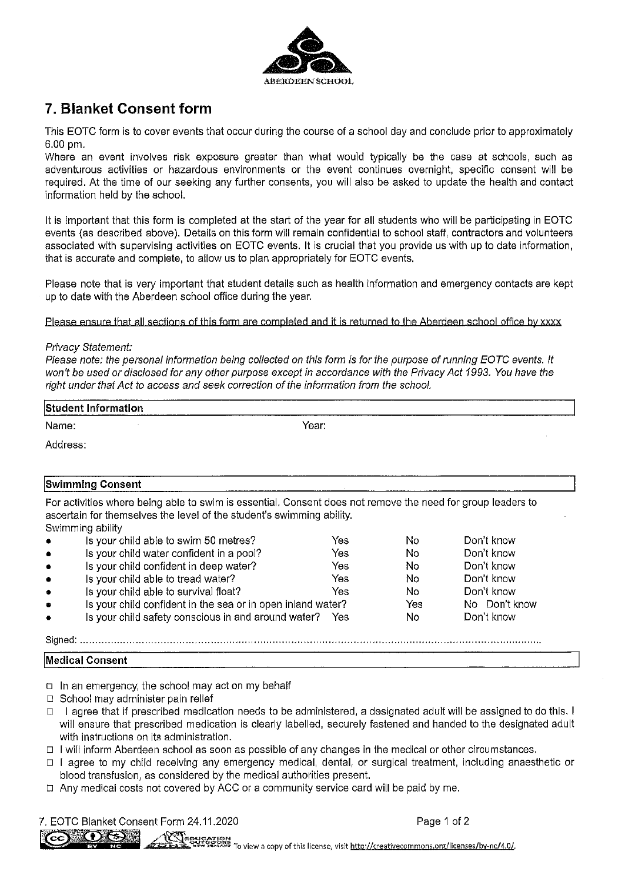

# 7. Blanket Consent form

This EOTC form is to cover events that occur during the course of a school day and conclude prior to approximately 6.00 pm.

Where an event involves risk exposure greater than what would typically be the case at schools, such as adventurous activities or hazardous environments or the event continues overnight, specific consent will be required. At the time of our seeking any further consents, you will also be asked to update the health and contact information held by the school.

It is important that this form is completed at the start of the year for all students who will be participating in EOTC events (as described above). Details on this form will remain confidential to school staff, contractors and volunteers associated with supervising activities on EOTC events. It is crucial that you provide us with up to date information, that is accurate and complete, to allow us to plan appropriately for EOTC events.

Please note that is very important that student details such as health information and emergency contacts are kept up to date with the Aberdeen school office during the year.

Please ensure that all sections of this form are completed and it is returned to the Aberdeen school office by xxxx

### Privacy Statement:

Please note: the personal information being collected on this form is for the purpose of running EOTC events. It won't be used or disclosed for any other purpose except in accordance with the Privacy Act 1993. You have the right under that Act to access and seek correction of the information from the school.

| <b>Student Information</b> |       |  |
|----------------------------|-------|--|
| Name:                      | Year: |  |
| Address:                   |       |  |

### **Swimming Consent**

For activities where being able to swim is essential. Consent does not remove the need for group leaders to ascertain for themselves the level of the student's swimming ability. Swimming abilify

| $\bullet$ | Is your child able to swim 50 metres?                       | Yes | No  | Don't know    |
|-----------|-------------------------------------------------------------|-----|-----|---------------|
| $\bullet$ | Is your child water confident in a pool?                    | Yes | No  | Don't know    |
| $\bullet$ | Is your child confident in deep water?                      | Yes | No. | Don't know    |
| $\bullet$ | Is your child able to tread water?                          | Yes | No. | Don't know    |
| $\bullet$ | Is your child able to survival float?                       | Yes | No  | Don't know    |
| $\bullet$ | Is your child confident in the sea or in open inland water? |     | Yes | No Don't know |
| $\bullet$ | Is your child safety conscious in and around water? Yes     |     | No  | Don't know    |
| Sianed:   |                                                             |     |     |               |

- Medical Consent
- $\Box$  In an emergency, the school may act on my behalf
- $\Box$  School may administer pain relief
- □ l agree that if prescribed medication needs to be administered, a designated adult will be assigned to do this. I will ensure that prescribed medication is clearly labelled, securely fastened and handed to the designated adult with instructions on its administration.
- □ I will inform Aberdeen school as soon as possible of any changes in the medical or other circumstances.
- □ I agree to my child receiving any emergency medical, dental, or surgical treatment, including anaesthetic or blood transfusion, as considered by the medical authorities present.
- $\Box$  Any medical costs not covered by ACC or a community service card will be paid by me.

7. EOTC Blanket Consent Form 24,11,2020

Page 1 of 2



Englished in the Second Second Second Second Second Second Second Second Second Second Second Second Second Second Second Second Second Second Second Second Second Second Second Second Second Second Second Second Second Se